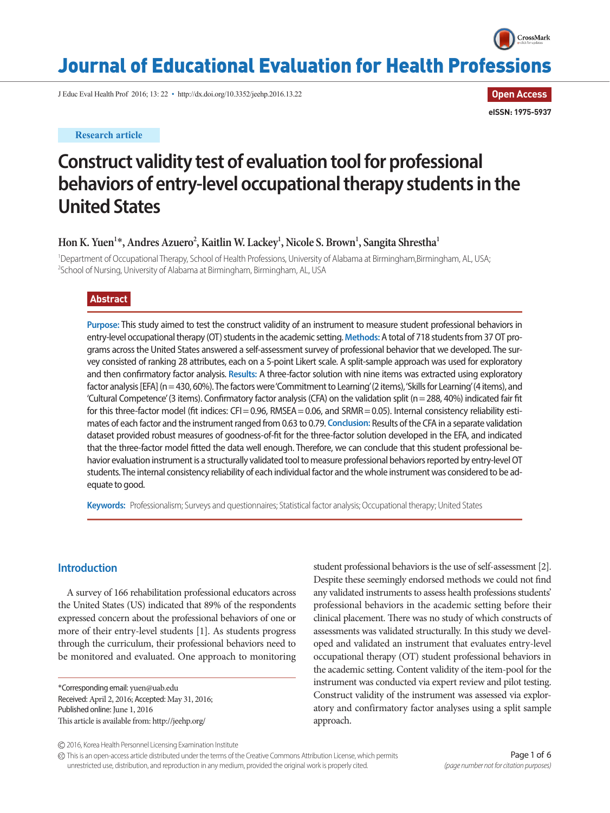

# Journal of Educational Evaluation for Health Professions

J Educ Eval Health Prof 2016; 13: 22 • http://dx.doi.org/10.3352/jeehp.2016.13.22

**Research article**

**Open Access eISSN: 1975-5937**

# **Construct validity test of evaluation tool for professional behaviors of entry-level occupational therapy students in the United States**

 $\text{Hom K. Yuen}^{1*}, \text{Andres Azuero}^{2}, \text{Kaitlin W. Lackey}^{1}, \text{Nicole S. Brown}^{1}, \text{Sangita Shrestha}^{1}$ 

<sup>1</sup>Department of Occupational Therapy, School of Health Professions, University of Alabama at Birmingham,Birmingham, AL, USA; 2 School of Nursing, University of Alabama at Birmingham, Birmingham, AL, USA

## **Abstract**

**Purpose:** This study aimed to test the construct validity of an instrument to measure student professional behaviors in entry-level occupational therapy (OT) students in the academic setting. **Methods:** A total of 718 students from 37 OT programs across the United States answered a self-assessment survey of professional behavior that we developed. The survey consisted of ranking 28 attributes, each on a 5-point Likert scale. A split-sample approach was used for exploratory and then confirmatory factor analysis. **Results:** A three-factor solution with nine items was extracted using exploratory factor analysis [EFA] (n= 430, 60%). The factors were 'Commitment to Learning' (2 items), 'Skills for Learning' (4 items), and 'Cultural Competence' (3 items). Confirmatory factor analysis (CFA) on the validation split (n= 288, 40%) indicated fair fit for this three-factor model (fit indices: CFI = 0.96, RMSEA = 0.06, and SRMR = 0.05). Internal consistency reliability estimates of each factor and the instrument ranged from 0.63 to 0.79. **Conclusion:** Results of the CFA in a separate validation dataset provided robust measures of goodness-of-fit for the three-factor solution developed in the EFA, and indicated that the three-factor model fitted the data well enough. Therefore, we can conclude that this student professional behavior evaluation instrument is a structurally validated tool to measure professional behaviors reported by entry-level OT students. The internal consistency reliability of each individual factor and the whole instrument was considered to be adequate to good.

**Keywords:** Professionalism; Surveys and questionnaires; Statistical factor analysis; Occupational therapy; United States

### **Introduction**

A survey of 166 rehabilitation professional educators across the United States (US) indicated that 89% of the respondents expressed concern about the professional behaviors of one or more of their entry-level students [1]. As students progress through the curriculum, their professional behaviors need to be monitored and evaluated. One approach to monitoring

\*Corresponding email: yuen@uab.edu Received: April 2, 2016; Accepted: May 31, 2016; Published online: June 1, 2016 This article is available from: http://jeehp.org/

student professional behaviors is the use of self-assessment [2]. Despite these seemingly endorsed methods we could not find any validated instruments to assess health professions students' professional behaviors in the academic setting before their clinical placement. There was no study of which constructs of assessments was validated structurally. In this study we developed and validated an instrument that evaluates entry-level occupational therapy (OT) student professional behaviors in the academic setting. Content validity of the item-pool for the instrument was conducted via expert review and pilot testing. Construct validity of the instrument was assessed via exploratory and confirmatory factor analyses using a split sample approach.

This is an open-access article distributed under the terms of the Creative Commons Attribution License, which permits unrestricted use, distribution, and reproduction in any medium, provided the original work is properly cited.

<sup>2016,</sup> Korea Health Personnel Licensing Examination Institute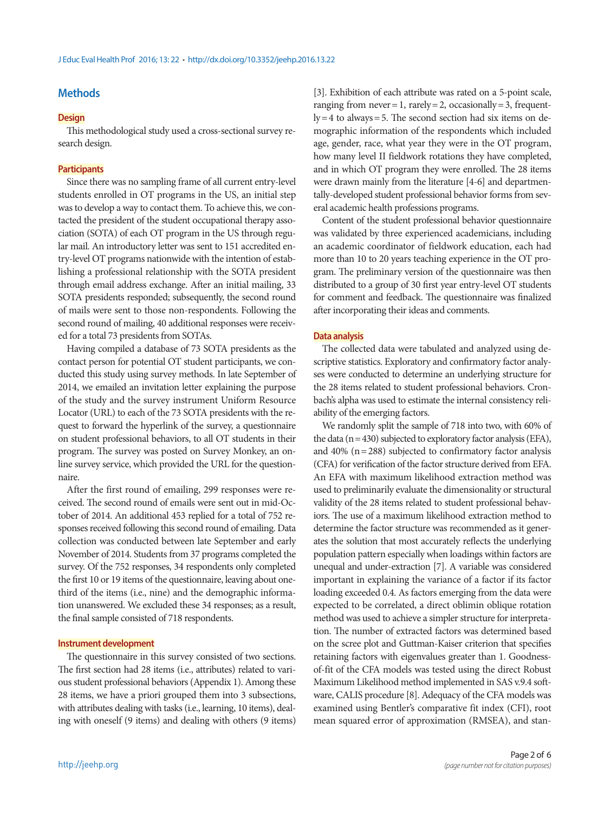## **Methods**

#### **Design**

This methodological study used a cross-sectional survey research design.

#### **Participants**

Since there was no sampling frame of all current entry-level students enrolled in OT programs in the US, an initial step was to develop a way to contact them. To achieve this, we contacted the president of the student occupational therapy association (SOTA) of each OT program in the US through regular mail. An introductory letter was sent to 151 accredited entry-level OT programs nationwide with the intention of establishing a professional relationship with the SOTA president through email address exchange. After an initial mailing, 33 SOTA presidents responded; subsequently, the second round of mails were sent to those non-respondents. Following the second round of mailing, 40 additional responses were received for a total 73 presidents from SOTAs.

Having compiled a database of 73 SOTA presidents as the contact person for potential OT student participants, we conducted this study using survey methods. In late September of 2014, we emailed an invitation letter explaining the purpose of the study and the survey instrument Uniform Resource Locator (URL) to each of the 73 SOTA presidents with the request to forward the hyperlink of the survey, a questionnaire on student professional behaviors, to all OT students in their program. The survey was posted on Survey Monkey, an online survey service, which provided the URL for the questionnaire.

After the first round of emailing, 299 responses were received. The second round of emails were sent out in mid-October of 2014. An additional 453 replied for a total of 752 responses received following this second round of emailing. Data collection was conducted between late September and early November of 2014. Students from 37 programs completed the survey. Of the 752 responses, 34 respondents only completed the first 10 or 19 items of the questionnaire, leaving about onethird of the items (i.e., nine) and the demographic information unanswered. We excluded these 34 responses; as a result, the final sample consisted of 718 respondents.

#### **Instrument development**

The questionnaire in this survey consisted of two sections. The first section had 28 items (i.e., attributes) related to various student professional behaviors (Appendix 1). Among these 28 items, we have a priori grouped them into 3 subsections, with attributes dealing with tasks (i.e., learning, 10 items), dealing with oneself (9 items) and dealing with others (9 items)

[3]. Exhibition of each attribute was rated on a 5-point scale, ranging from never = 1, rarely = 2, occasionally = 3, frequent $ly = 4$  to always = 5. The second section had six items on demographic information of the respondents which included age, gender, race, what year they were in the OT program, how many level II fieldwork rotations they have completed, and in which OT program they were enrolled. The 28 items were drawn mainly from the literature [4-6] and departmentally-developed student professional behavior forms from several academic health professions programs.

Content of the student professional behavior questionnaire was validated by three experienced academicians, including an academic coordinator of fieldwork education, each had more than 10 to 20 years teaching experience in the OT program. The preliminary version of the questionnaire was then distributed to a group of 30 first year entry-level OT students for comment and feedback. The questionnaire was finalized after incorporating their ideas and comments.

#### **Data analysis**

The collected data were tabulated and analyzed using descriptive statistics. Exploratory and confirmatory factor analyses were conducted to determine an underlying structure for the 28 items related to student professional behaviors. Cronbach's alpha was used to estimate the internal consistency reliability of the emerging factors.

We randomly split the sample of 718 into two, with 60% of the data  $(n = 430)$  subjected to exploratory factor analysis (EFA), and  $40\%$  (n = 288) subjected to confirmatory factor analysis (CFA) for verification of the factor structure derived from EFA. An EFA with maximum likelihood extraction method was used to preliminarily evaluate the dimensionality or structural validity of the 28 items related to student professional behaviors. The use of a maximum likelihood extraction method to determine the factor structure was recommended as it generates the solution that most accurately reflects the underlying population pattern especially when loadings within factors are unequal and under-extraction [7]. A variable was considered important in explaining the variance of a factor if its factor loading exceeded 0.4. As factors emerging from the data were expected to be correlated, a direct oblimin oblique rotation method was used to achieve a simpler structure for interpretation. The number of extracted factors was determined based on the scree plot and Guttman-Kaiser criterion that specifies retaining factors with eigenvalues greater than 1. Goodnessof-fit of the CFA models was tested using the direct Robust Maximum Likelihood method implemented in SAS v.9.4 software, CALIS procedure [8]. Adequacy of the CFA models was examined using Bentler's comparative fit index (CFI), root mean squared error of approximation (RMSEA), and stan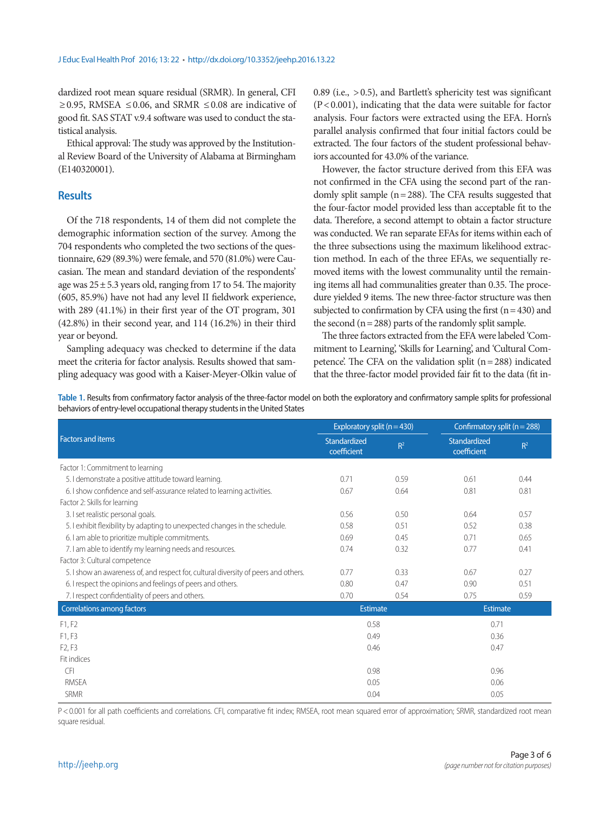dardized root mean square residual (SRMR). In general, CFI ≥0.95, RMSEA ≤0.06, and SRMR ≤0.08 are indicative of good fit. SAS STAT v.9.4 software was used to conduct the statistical analysis.

Ethical approval: The study was approved by the Institutional Review Board of the University of Alabama at Birmingham (E140320001).

## **Results**

Of the 718 respondents, 14 of them did not complete the demographic information section of the survey. Among the 704 respondents who completed the two sections of the questionnaire, 629 (89.3%) were female, and 570 (81.0%) were Caucasian. The mean and standard deviation of the respondents' age was  $25 \pm 5.3$  years old, ranging from 17 to 54. The majority (605, 85.9%) have not had any level II fieldwork experience, with 289 (41.1%) in their first year of the OT program, 301 (42.8%) in their second year, and 114 (16.2%) in their third year or beyond.

Sampling adequacy was checked to determine if the data meet the criteria for factor analysis. Results showed that sampling adequacy was good with a Kaiser-Meyer-Olkin value of 0.89 (i.e., > 0.5), and Bartlett's sphericity test was significant  $(P<0.001)$ , indicating that the data were suitable for factor analysis. Four factors were extracted using the EFA. Horn's parallel analysis confirmed that four initial factors could be extracted. The four factors of the student professional behaviors accounted for 43.0% of the variance.

However, the factor structure derived from this EFA was not confirmed in the CFA using the second part of the randomly split sample  $(n= 288)$ . The CFA results suggested that the four-factor model provided less than acceptable fit to the data. Therefore, a second attempt to obtain a factor structure was conducted. We ran separate EFAs for items within each of the three subsections using the maximum likelihood extraction method. In each of the three EFAs, we sequentially removed items with the lowest communality until the remaining items all had communalities greater than 0.35. The procedure yielded 9 items. The new three-factor structure was then subjected to confirmation by CFA using the first  $(n = 430)$  and the second ( $n = 288$ ) parts of the randomly split sample.

The three factors extracted from the EFA were labeled 'Commitment to Learning', 'Skills for Learning', and 'Cultural Competence'. The CFA on the validation split  $(n=288)$  indicated that the three-factor model provided fair fit to the data (fit in-

**Table 1.** Results from confirmatory factor analysis of the three-factor model on both the exploratory and confirmatory sample splits for professional behaviors of entry-level occupational therapy students in the United States

|                                                                                     | Exploratory split ( $n = 430$ ) |       | Confirmatory split ( $n = 288$ ) |       |
|-------------------------------------------------------------------------------------|---------------------------------|-------|----------------------------------|-------|
| <b>Factors and items</b>                                                            | Standardized<br>coefficient     | $R^2$ | Standardized<br>coefficient      | $R^2$ |
| Factor 1: Commitment to learning                                                    |                                 |       |                                  |       |
| 5. I demonstrate a positive attitude toward learning.                               | 0.71                            | 0.59  | 0.61                             | 0.44  |
| 6. I show confidence and self-assurance related to learning activities.             | 0.67                            | 0.64  | 0.81                             | 0.81  |
| Factor 2: Skills for learning                                                       |                                 |       |                                  |       |
| 3. I set realistic personal goals.                                                  | 0.56                            | 0.50  | 0.64                             | 0.57  |
| 5. I exhibit flexibility by adapting to unexpected changes in the schedule.         | 0.58                            | 0.51  | 0.52                             | 0.38  |
| 6. I am able to prioritize multiple commitments.                                    | 0.69                            | 0.45  | 0.71                             | 0.65  |
| 7. I am able to identify my learning needs and resources.                           | 0.74                            | 0.32  | 0.77                             | 0.41  |
| Factor 3: Cultural competence                                                       |                                 |       |                                  |       |
| 5. I show an awareness of, and respect for, cultural diversity of peers and others. | 0.77                            | 0.33  | 0.67                             | 0.27  |
| 6. I respect the opinions and feelings of peers and others.                         | 0.80                            | 0.47  | 0.90                             | 0.51  |
| 7. I respect confidentiality of peers and others.                                   | 0.70                            | 0.54  | 0.75                             | 0.59  |
| <b>Correlations among factors</b>                                                   | Estimate                        |       | <b>Estimate</b>                  |       |
| F1, F2                                                                              | 0.58                            |       | 0.71                             |       |
| F1, F3                                                                              | 0.49                            |       | 0.36                             |       |
| F <sub>2</sub> , F <sub>3</sub>                                                     | 0.46                            |       | 0.47                             |       |
| Fit indices                                                                         |                                 |       |                                  |       |
| <b>CFI</b>                                                                          | 0.98                            |       | 0.96                             |       |
| <b>RMSFA</b>                                                                        | 0.05                            |       | 0.06                             |       |
| <b>SRMR</b>                                                                         | 0.04                            |       | 0.05                             |       |

P < 0.001 for all path coefficients and correlations. CFI, comparative fit index; RMSEA, root mean squared error of approximation; SRMR, standardized root mean square residual.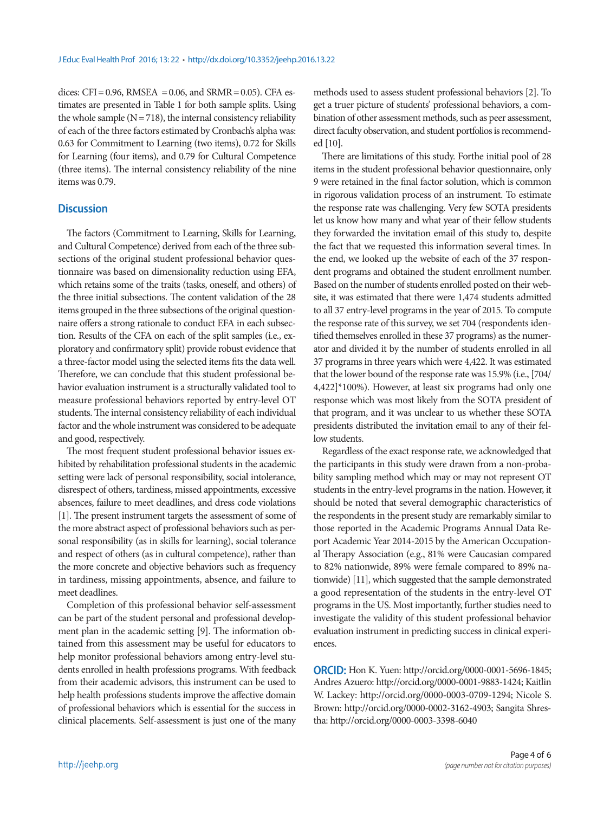dices: CFI=  $0.96$ , RMSEA =  $0.06$ , and SRMR=  $0.05$ ). CFA estimates are presented in Table 1 for both sample splits. Using the whole sample  $(N = 718)$ , the internal consistency reliability of each of the three factors estimated by Cronbach's alpha was: 0.63 for Commitment to Learning (two items), 0.72 for Skills for Learning (four items), and 0.79 for Cultural Competence (three items). The internal consistency reliability of the nine items was 0.79.

## **Discussion**

The factors (Commitment to Learning, Skills for Learning, and Cultural Competence) derived from each of the three subsections of the original student professional behavior questionnaire was based on dimensionality reduction using EFA, which retains some of the traits (tasks, oneself, and others) of the three initial subsections. The content validation of the 28 items grouped in the three subsections of the original questionnaire offers a strong rationale to conduct EFA in each subsection. Results of the CFA on each of the split samples (i.e., exploratory and confirmatory split) provide robust evidence that a three-factor model using the selected items fits the data well. Therefore, we can conclude that this student professional behavior evaluation instrument is a structurally validated tool to measure professional behaviors reported by entry-level OT students. The internal consistency reliability of each individual factor and the whole instrument was considered to be adequate and good, respectively.

The most frequent student professional behavior issues exhibited by rehabilitation professional students in the academic setting were lack of personal responsibility, social intolerance, disrespect of others, tardiness, missed appointments, excessive absences, failure to meet deadlines, and dress code violations [1]. The present instrument targets the assessment of some of the more abstract aspect of professional behaviors such as personal responsibility (as in skills for learning), social tolerance and respect of others (as in cultural competence), rather than the more concrete and objective behaviors such as frequency in tardiness, missing appointments, absence, and failure to meet deadlines.

Completion of this professional behavior self-assessment can be part of the student personal and professional development plan in the academic setting [9]. The information obtained from this assessment may be useful for educators to help monitor professional behaviors among entry-level students enrolled in health professions programs. With feedback from their academic advisors, this instrument can be used to help health professions students improve the affective domain of professional behaviors which is essential for the success in clinical placements. Self-assessment is just one of the many

methods used to assess student professional behaviors [2]. To get a truer picture of students' professional behaviors, a combination of other assessment methods, such as peer assessment, direct faculty observation, and student portfolios is recommended [10].

There are limitations of this study. Forthe initial pool of 28 items in the student professional behavior questionnaire, only 9 were retained in the final factor solution, which is common in rigorous validation process of an instrument. To estimate the response rate was challenging. Very few SOTA presidents let us know how many and what year of their fellow students they forwarded the invitation email of this study to, despite the fact that we requested this information several times. In the end, we looked up the website of each of the 37 respondent programs and obtained the student enrollment number. Based on the number of students enrolled posted on their website, it was estimated that there were 1,474 students admitted to all 37 entry-level programs in the year of 2015. To compute the response rate of this survey, we set 704 (respondents identified themselves enrolled in these 37 programs) as the numerator and divided it by the number of students enrolled in all 37 programs in three years which were 4,422. It was estimated that the lower bound of the response rate was 15.9% (i.e., [704/  $4,422$ <sup>\*</sup>100%). However, at least six programs had only one response which was most likely from the SOTA president of that program, and it was unclear to us whether these SOTA presidents distributed the invitation email to any of their fellow students.

Regardless of the exact response rate, we acknowledged that the participants in this study were drawn from a non-probability sampling method which may or may not represent OT students in the entry-level programs in the nation. However, it should be noted that several demographic characteristics of the respondents in the present study are remarkably similar to those reported in the Academic Programs Annual Data Report Academic Year 2014-2015 by the American Occupational Therapy Association (e.g., 81% were Caucasian compared to 82% nationwide, 89% were female compared to 89% nationwide) [11], which suggested that the sample demonstrated a good representation of the students in the entry-level OT programs in the US. Most importantly, further studies need to investigate the validity of this student professional behavior evaluation instrument in predicting success in clinical experiences.

**ORCID:** Hon K. Yuen: http://orcid.org/0000-0001-5696-1845; Andres Azuero: http://orcid.org/0000-0001-9883-1424; Kaitlin W. Lackey: http://orcid.org/0000-0003-0709-1294; Nicole S. Brown: http://orcid.org/0000-0002-3162-4903; Sangita Shrestha: http://orcid.org/0000-0003-3398-6040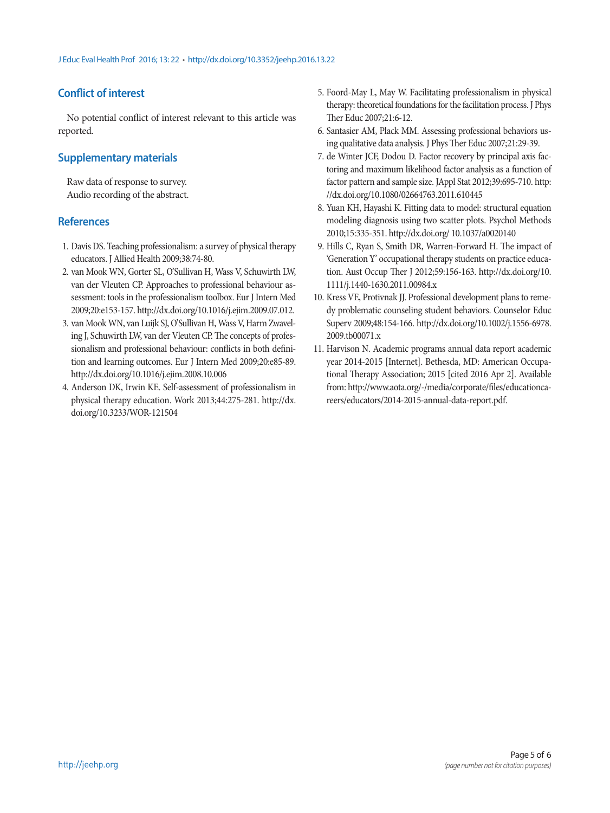# **Conflict of interest**

No potential conflict of interest relevant to this article was reported.

## **Supplementary materials**

Raw data of response to survey. Audio recording of the abstract.

## **References**

- 1. Davis DS. Teaching professionalism: a survey of physical therapy educators. J Allied Health 2009;38:74-80.
- 2. van Mook WN, Gorter SL, O'Sullivan H, Wass V, Schuwirth LW, van der Vleuten CP. Approaches to professional behaviour assessment: tools in the professionalism toolbox. Eur J Intern Med 2009;20:e153-157. http://dx.doi.org/10.1016/j.ejim.2009.07.012.
- 3. van Mook WN, van Luijk SJ, O'Sullivan H, Wass V, Harm Zwaveling J, Schuwirth LW, van der Vleuten CP. The concepts of professionalism and professional behaviour: conflicts in both definition and learning outcomes. Eur J Intern Med 2009;20:e85-89. http://dx.doi.org/10.1016/j.ejim.2008.10.006
- 4. Anderson DK, Irwin KE. Self-assessment of professionalism in physical therapy education. Work 2013;44:275-281. http://dx. doi.org/10.3233/WOR-121504
- 5. Foord-May L, May W. Facilitating professionalism in physical therapy: theoretical foundations for the facilitation process. J Phys Ther Educ 2007;21:6-12.
- 6. Santasier AM, Plack MM. Assessing professional behaviors using qualitative data analysis. J Phys Ther Educ 2007;21:29-39.
- 7. de Winter JCF, Dodou D. Factor recovery by principal axis factoring and maximum likelihood factor analysis as a function of factor pattern and sample size. JAppl Stat 2012;39:695-710. http: //dx.doi.org/10.1080/02664763.2011.610445
- 8. Yuan KH, Hayashi K. Fitting data to model: structural equation modeling diagnosis using two scatter plots. Psychol Methods 2010;15:335-351. http://dx.doi.org/ 10.1037/a0020140
- 9. Hills C, Ryan S, Smith DR, Warren-Forward H. The impact of 'Generation Y' occupational therapy students on practice education. Aust Occup Ther J 2012;59:156-163. http://dx.doi.org/10. 1111/j.1440-1630.2011.00984.x
- 10. Kress VE, Protivnak JJ. Professional development plans to remedy problematic counseling student behaviors. Counselor Educ Superv 2009;48:154-166. http://dx.doi.org/10.1002/j.1556-6978. 2009.tb00071.x
- 11. Harvison N. Academic programs annual data report academic year 2014-2015 [Internet]. Bethesda, MD: American Occupational Therapy Association; 2015 [cited 2016 Apr 2]. Available from: http://www.aota.org/-/media/corporate/files/educationcareers/educators/2014-2015-annual-data-report.pdf.